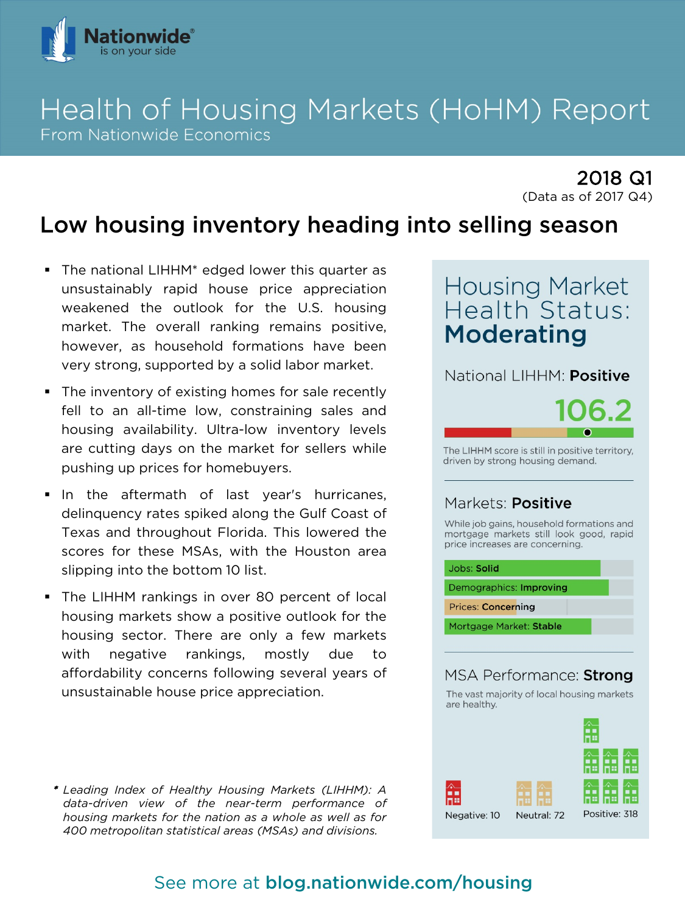

# Health of Housing Markets (HoHM) Report **From Nationwide Economics**

2018 Q1 (Data as of 2017 Q4)

# Low housing inventory heading into selling season

- The national LIHHM\* edged lower this quarter as unsustainably rapid house price appreciation weakened the outlook for the U.S. housing market. The overall ranking remains positive, however, as household formations have been very strong, supported by a solid labor market.
- The inventory of existing homes for sale recently fell to an all-time low, constraining sales and housing availability. Ultra-low inventory levels are cutting days on the market for sellers while pushing up prices for homebuyers.
- In the aftermath of last year's hurricanes, delinquency rates spiked along the Gulf Coast of Texas and throughout Florida. This lowered the scores for these MSAs, with the Houston area slipping into the bottom 10 list.
- **The LIHHM rankings in over 80 percent of local** housing markets show a positive outlook for the housing sector. There are only a few markets with negative rankings, mostly due to affordability concerns following several years of unsustainable house price appreciation.

\* *Leading Index of Healthy Housing Markets (LIHHM): A data-driven view of the near-term performance of housing markets for the nation as a whole as well as for 400 metropolitan statistical areas (MSAs) and divisions.*

# **Housing Market** Health Status: **Moderating**

National LIHHM: Positive



The LIHHM score is still in positive territory, driven by strong housing demand.

## Markets: **Positive**

While job gains, household formations and mortgage markets still look good, rapid price increases are concerning.

| Jobs: Solid               |  |
|---------------------------|--|
| Demographics: Improving   |  |
| <b>Prices: Concerning</b> |  |
| Mortgage Market: Stable   |  |

## MSA Performance: Strong



## See more at blog.nationwide.com/housing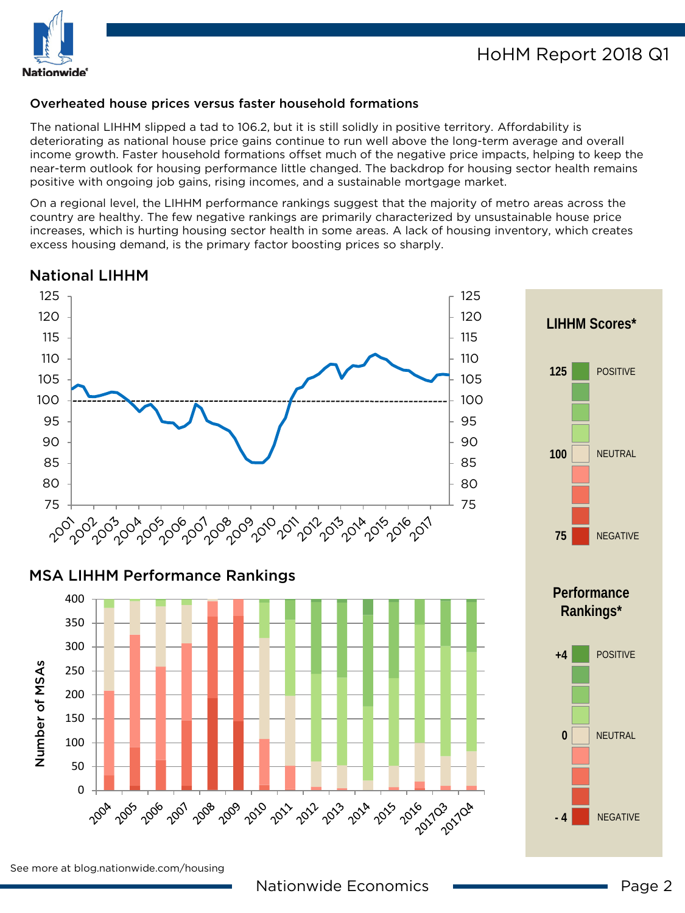

#### Overheated house prices versus faster household formations

The national LIHHM slipped a tad to 106.2, but it is still solidly in positive territory. Affordability is deteriorating as national house price gains continue to run well above the long-term average and overall income growth. Faster household formations offset much of the negative price impacts, helping to keep the near-term outlook for housing performance little changed. The backdrop for housing sector health remains positive with ongoing job gains, rising incomes, and a sustainable mortgage market.

On a regional level, the LIHHM performance rankings suggest that the majority of metro areas across the country are healthy. The few negative rankings are primarily characterized by unsustainable house price increases, which is hurting housing sector health in some areas. A lack of housing inventory, which creates excess housing demand, is the primary factor boosting prices so sharply.

### National LIHHM



### MSA LIHHM Performance Rankings





See more at blog.nationwide.com/housing

NEGATIVE

**- 4**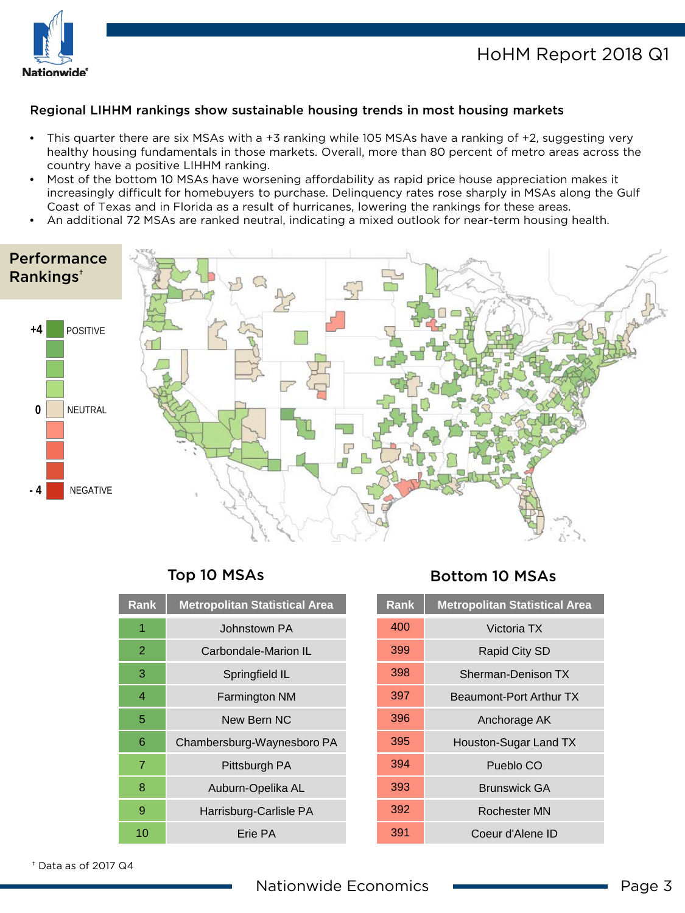

## HoHM Report 2018 Q1

#### Regional LIHHM rankings show sustainable housing trends in most housing markets

- This quarter there are six MSAs with a +3 ranking while 105 MSAs have a ranking of +2, suggesting very healthy housing fundamentals in those markets. Overall, more than 80 percent of metro areas across the country have a positive LIHHM ranking.
- Most of the bottom 10 MSAs have worsening affordability as rapid price house appreciation makes it increasingly difficult for homebuyers to purchase. Delinquency rates rose sharply in MSAs along the Gulf Coast of Texas and in Florida as a result of hurricanes, lowering the rankings for these areas.
- An additional 72 MSAs are ranked neutral, indicating a mixed outlook for near-term housing health.



| <b>Rank</b> | <b>Metropolitan Statistical Area</b> |
|-------------|--------------------------------------|
| 1           | Johnstown PA                         |
| 2           | Carbondale-Marion IL                 |
| 3           | Springfield IL                       |
| 4           | <b>Farmington NM</b>                 |
| 5           | New Bern NC                          |
| 6           | Chambersburg-Waynesboro PA           |
| 7           | Pittsburgh PA                        |
| 8           | Auburn-Opelika AL                    |
| 9           | Harrisburg-Carlisle PA               |
| 10          | Frie PA                              |

## Top 10 MSAs Bottom 10 MSAs

| <b>Rank</b> | <b>Metropolitan Statistical Area</b> |
|-------------|--------------------------------------|
| 400         | Victoria TX                          |
| 399         | Rapid City SD                        |
| 398         | Sherman-Denison TX                   |
| 397         | Beaumont-Port Arthur TX              |
| 396         | Anchorage AK                         |
| 395         | Houston-Sugar Land TX                |
| 394         | Pueblo CO                            |
| 393         | <b>Brunswick GA</b>                  |
| 392         | Rochester MN                         |
| 391         | Coeur d'Alene ID                     |

† Data as of 2017 Q4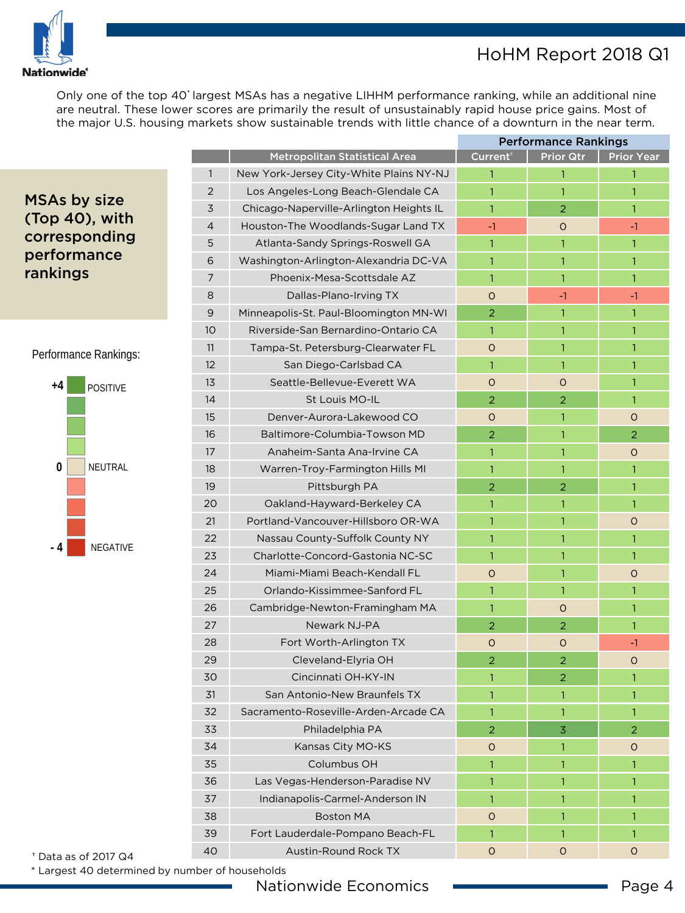

## HoHM Report 2018 Q1

Only one of the top 40\* largest MSAs has a negative LIHHM performance ranking, while an additional nine are neutral. These lower scores are primarily the result of unsustainably rapid house price gains. Most of the major U.S. housing markets show sustainable trends with little chance of a downturn in the near term.

## MSAs by size (Top 40), with corresponding performance rankings

#### Performance Rankings:



| <b>Metropolitan Statistical Area</b><br>Current <sup>+</sup><br><b>Prior Qtr</b><br><b>Prior Year</b><br>$\mathbf{1}$<br>New York-Jersey City-White Plains NY-NJ<br>$\mathbf{1}$<br>1<br>$\mathbf{1}$<br>$\overline{2}$<br>Los Angeles-Long Beach-Glendale CA<br>$\mathbf{1}$<br>1<br>$\mathbf{1}$<br>3<br>Chicago-Naperville-Arlington Heights IL<br>$\mathbf{1}$<br>$\overline{2}$<br>$\mathbf{1}$<br>$\overline{4}$<br>Houston-The Woodlands-Sugar Land TX<br>$-1$<br>$\circ$<br>$-1$<br>5<br>Atlanta-Sandy Springs-Roswell GA<br>$\mathbf{1}$<br>1<br>$\mathbf{1}$<br>6<br>Washington-Arlington-Alexandria DC-VA<br>$\mathbf{1}$<br>1<br>$\mathbf{1}$<br>7<br>Phoenix-Mesa-Scottsdale AZ<br>$\mathbf{1}$<br>$\mathbf{1}$<br>$\mathbf{1}$<br>8<br>Dallas-Plano-Irving TX<br>$\Omega$<br>$-1$<br>$-1$<br>9<br>Minneapolis-St. Paul-Bloomington MN-WI<br>2<br>$\mathbf{1}$<br>$\mathbf{1}$<br>10 <sup>°</sup><br>Riverside-San Bernardino-Ontario CA<br>$\mathbf{1}$<br>$\mathbf{1}$<br>1<br>11<br>Tampa-St. Petersburg-Clearwater FL<br>$\mathbf{1}$<br>$\circ$<br>1<br>12<br>San Diego-Carlsbad CA<br>1<br>1<br>1<br>13<br>Seattle-Bellevue-Everett WA<br>$\circ$<br>$\circ$<br>1<br>14<br>St Louis MO-IL<br>$\overline{2}$<br>$\overline{2}$<br>$\mathbf{1}$<br>15<br>Denver-Aurora-Lakewood CO<br>$\Omega$<br>$\mathbf{1}$<br>$\circ$<br>16<br>Baltimore-Columbia-Towson MD<br>2<br>1<br>$\overline{2}$<br>17<br>Anaheim-Santa Ana-Irvine CA<br>$\mathbf{1}$<br>1<br>O<br>18<br>$\mathbf{1}$<br>$\mathbf{1}$<br>Warren-Troy-Farmington Hills MI<br>1<br>19<br>Pittsburgh PA<br>2<br>$\overline{2}$<br>1<br>20<br>Oakland-Hayward-Berkeley CA<br>1<br>1<br>$\mathbf{1}$<br>21<br>Portland-Vancouver-Hillsboro OR-WA<br>$\mathbf{1}$<br>$\mathbf{1}$<br>$\circ$<br>22<br>Nassau County-Suffolk County NY<br>$\mathbf{1}$<br>1<br>$\mathbf{1}$<br>23<br>Charlotte-Concord-Gastonia NC-SC<br>$\mathbf{1}$<br>1<br>$\mathbf{1}$<br>24<br>Miami-Miami Beach-Kendall FL<br>$\Omega$<br>1<br>$\circ$<br>25<br>Orlando-Kissimmee-Sanford FL<br>$\mathbf{1}$<br>$\mathbf{1}$<br>$\mathbf{1}$<br>26<br>Cambridge-Newton-Framingham MA<br>1<br>$\circ$<br>1<br>27<br>Newark NJ-PA<br>$\overline{2}$<br>$\overline{2}$<br>$\mathbf{1}$<br>28<br>Fort Worth-Arlington TX<br>$\circ$<br>$\circ$<br>$-1$<br>29<br>Cleveland-Elyria OH<br>$\overline{2}$<br>$\overline{2}$<br>$\circ$<br>30<br>Cincinnati OH-KY-IN<br>$\mathbf{1}$<br>2<br>$\mathbf{1}$<br>31<br>San Antonio-New Braunfels TX<br>$\mathbf{1}$<br>1<br>$\mathbf{1}$<br>Sacramento-Roseville-Arden-Arcade CA<br>32<br>$\mathbf{1}$<br>1<br>$\mathbf{1}$<br>$\overline{2}$<br>33<br>Philadelphia PA<br>3<br>$\overline{2}$<br>34<br>Kansas City MO-KS<br>$\circ$<br>1<br>$\circ$<br>Columbus OH<br>35<br>$\mathbf{1}$<br>1<br>$\mathbf{1}$<br>36<br>Las Vegas-Henderson-Paradise NV<br>1<br>1<br>1<br>37<br>Indianapolis-Carmel-Anderson IN<br>1<br>1<br>$\mathbf{1}$<br>38<br><b>Boston MA</b><br>$\circ$<br>1<br>$\mathbf{1}$<br>39<br>Fort Lauderdale-Pompano Beach-FL<br>$\mathbf{1}$<br>1<br>$\mathbf{1}$ |  | <b>Performance Rankings</b> |  |  |
|-----------------------------------------------------------------------------------------------------------------------------------------------------------------------------------------------------------------------------------------------------------------------------------------------------------------------------------------------------------------------------------------------------------------------------------------------------------------------------------------------------------------------------------------------------------------------------------------------------------------------------------------------------------------------------------------------------------------------------------------------------------------------------------------------------------------------------------------------------------------------------------------------------------------------------------------------------------------------------------------------------------------------------------------------------------------------------------------------------------------------------------------------------------------------------------------------------------------------------------------------------------------------------------------------------------------------------------------------------------------------------------------------------------------------------------------------------------------------------------------------------------------------------------------------------------------------------------------------------------------------------------------------------------------------------------------------------------------------------------------------------------------------------------------------------------------------------------------------------------------------------------------------------------------------------------------------------------------------------------------------------------------------------------------------------------------------------------------------------------------------------------------------------------------------------------------------------------------------------------------------------------------------------------------------------------------------------------------------------------------------------------------------------------------------------------------------------------------------------------------------------------------------------------------------------------------------------------------------------------------------------------------------------------------------------------------------------------------------------------------------------------------------------------------------------------------------------------------------------------------------------------------------------------------------------------------------------------------------------------------------------------------------------------------------------------------|--|-----------------------------|--|--|
|                                                                                                                                                                                                                                                                                                                                                                                                                                                                                                                                                                                                                                                                                                                                                                                                                                                                                                                                                                                                                                                                                                                                                                                                                                                                                                                                                                                                                                                                                                                                                                                                                                                                                                                                                                                                                                                                                                                                                                                                                                                                                                                                                                                                                                                                                                                                                                                                                                                                                                                                                                                                                                                                                                                                                                                                                                                                                                                                                                                                                                                                 |  |                             |  |  |
|                                                                                                                                                                                                                                                                                                                                                                                                                                                                                                                                                                                                                                                                                                                                                                                                                                                                                                                                                                                                                                                                                                                                                                                                                                                                                                                                                                                                                                                                                                                                                                                                                                                                                                                                                                                                                                                                                                                                                                                                                                                                                                                                                                                                                                                                                                                                                                                                                                                                                                                                                                                                                                                                                                                                                                                                                                                                                                                                                                                                                                                                 |  |                             |  |  |
|                                                                                                                                                                                                                                                                                                                                                                                                                                                                                                                                                                                                                                                                                                                                                                                                                                                                                                                                                                                                                                                                                                                                                                                                                                                                                                                                                                                                                                                                                                                                                                                                                                                                                                                                                                                                                                                                                                                                                                                                                                                                                                                                                                                                                                                                                                                                                                                                                                                                                                                                                                                                                                                                                                                                                                                                                                                                                                                                                                                                                                                                 |  |                             |  |  |
|                                                                                                                                                                                                                                                                                                                                                                                                                                                                                                                                                                                                                                                                                                                                                                                                                                                                                                                                                                                                                                                                                                                                                                                                                                                                                                                                                                                                                                                                                                                                                                                                                                                                                                                                                                                                                                                                                                                                                                                                                                                                                                                                                                                                                                                                                                                                                                                                                                                                                                                                                                                                                                                                                                                                                                                                                                                                                                                                                                                                                                                                 |  |                             |  |  |
|                                                                                                                                                                                                                                                                                                                                                                                                                                                                                                                                                                                                                                                                                                                                                                                                                                                                                                                                                                                                                                                                                                                                                                                                                                                                                                                                                                                                                                                                                                                                                                                                                                                                                                                                                                                                                                                                                                                                                                                                                                                                                                                                                                                                                                                                                                                                                                                                                                                                                                                                                                                                                                                                                                                                                                                                                                                                                                                                                                                                                                                                 |  |                             |  |  |
|                                                                                                                                                                                                                                                                                                                                                                                                                                                                                                                                                                                                                                                                                                                                                                                                                                                                                                                                                                                                                                                                                                                                                                                                                                                                                                                                                                                                                                                                                                                                                                                                                                                                                                                                                                                                                                                                                                                                                                                                                                                                                                                                                                                                                                                                                                                                                                                                                                                                                                                                                                                                                                                                                                                                                                                                                                                                                                                                                                                                                                                                 |  |                             |  |  |
|                                                                                                                                                                                                                                                                                                                                                                                                                                                                                                                                                                                                                                                                                                                                                                                                                                                                                                                                                                                                                                                                                                                                                                                                                                                                                                                                                                                                                                                                                                                                                                                                                                                                                                                                                                                                                                                                                                                                                                                                                                                                                                                                                                                                                                                                                                                                                                                                                                                                                                                                                                                                                                                                                                                                                                                                                                                                                                                                                                                                                                                                 |  |                             |  |  |
|                                                                                                                                                                                                                                                                                                                                                                                                                                                                                                                                                                                                                                                                                                                                                                                                                                                                                                                                                                                                                                                                                                                                                                                                                                                                                                                                                                                                                                                                                                                                                                                                                                                                                                                                                                                                                                                                                                                                                                                                                                                                                                                                                                                                                                                                                                                                                                                                                                                                                                                                                                                                                                                                                                                                                                                                                                                                                                                                                                                                                                                                 |  |                             |  |  |
|                                                                                                                                                                                                                                                                                                                                                                                                                                                                                                                                                                                                                                                                                                                                                                                                                                                                                                                                                                                                                                                                                                                                                                                                                                                                                                                                                                                                                                                                                                                                                                                                                                                                                                                                                                                                                                                                                                                                                                                                                                                                                                                                                                                                                                                                                                                                                                                                                                                                                                                                                                                                                                                                                                                                                                                                                                                                                                                                                                                                                                                                 |  |                             |  |  |
|                                                                                                                                                                                                                                                                                                                                                                                                                                                                                                                                                                                                                                                                                                                                                                                                                                                                                                                                                                                                                                                                                                                                                                                                                                                                                                                                                                                                                                                                                                                                                                                                                                                                                                                                                                                                                                                                                                                                                                                                                                                                                                                                                                                                                                                                                                                                                                                                                                                                                                                                                                                                                                                                                                                                                                                                                                                                                                                                                                                                                                                                 |  |                             |  |  |
|                                                                                                                                                                                                                                                                                                                                                                                                                                                                                                                                                                                                                                                                                                                                                                                                                                                                                                                                                                                                                                                                                                                                                                                                                                                                                                                                                                                                                                                                                                                                                                                                                                                                                                                                                                                                                                                                                                                                                                                                                                                                                                                                                                                                                                                                                                                                                                                                                                                                                                                                                                                                                                                                                                                                                                                                                                                                                                                                                                                                                                                                 |  |                             |  |  |
|                                                                                                                                                                                                                                                                                                                                                                                                                                                                                                                                                                                                                                                                                                                                                                                                                                                                                                                                                                                                                                                                                                                                                                                                                                                                                                                                                                                                                                                                                                                                                                                                                                                                                                                                                                                                                                                                                                                                                                                                                                                                                                                                                                                                                                                                                                                                                                                                                                                                                                                                                                                                                                                                                                                                                                                                                                                                                                                                                                                                                                                                 |  |                             |  |  |
|                                                                                                                                                                                                                                                                                                                                                                                                                                                                                                                                                                                                                                                                                                                                                                                                                                                                                                                                                                                                                                                                                                                                                                                                                                                                                                                                                                                                                                                                                                                                                                                                                                                                                                                                                                                                                                                                                                                                                                                                                                                                                                                                                                                                                                                                                                                                                                                                                                                                                                                                                                                                                                                                                                                                                                                                                                                                                                                                                                                                                                                                 |  |                             |  |  |
|                                                                                                                                                                                                                                                                                                                                                                                                                                                                                                                                                                                                                                                                                                                                                                                                                                                                                                                                                                                                                                                                                                                                                                                                                                                                                                                                                                                                                                                                                                                                                                                                                                                                                                                                                                                                                                                                                                                                                                                                                                                                                                                                                                                                                                                                                                                                                                                                                                                                                                                                                                                                                                                                                                                                                                                                                                                                                                                                                                                                                                                                 |  |                             |  |  |
|                                                                                                                                                                                                                                                                                                                                                                                                                                                                                                                                                                                                                                                                                                                                                                                                                                                                                                                                                                                                                                                                                                                                                                                                                                                                                                                                                                                                                                                                                                                                                                                                                                                                                                                                                                                                                                                                                                                                                                                                                                                                                                                                                                                                                                                                                                                                                                                                                                                                                                                                                                                                                                                                                                                                                                                                                                                                                                                                                                                                                                                                 |  |                             |  |  |
|                                                                                                                                                                                                                                                                                                                                                                                                                                                                                                                                                                                                                                                                                                                                                                                                                                                                                                                                                                                                                                                                                                                                                                                                                                                                                                                                                                                                                                                                                                                                                                                                                                                                                                                                                                                                                                                                                                                                                                                                                                                                                                                                                                                                                                                                                                                                                                                                                                                                                                                                                                                                                                                                                                                                                                                                                                                                                                                                                                                                                                                                 |  |                             |  |  |
|                                                                                                                                                                                                                                                                                                                                                                                                                                                                                                                                                                                                                                                                                                                                                                                                                                                                                                                                                                                                                                                                                                                                                                                                                                                                                                                                                                                                                                                                                                                                                                                                                                                                                                                                                                                                                                                                                                                                                                                                                                                                                                                                                                                                                                                                                                                                                                                                                                                                                                                                                                                                                                                                                                                                                                                                                                                                                                                                                                                                                                                                 |  |                             |  |  |
|                                                                                                                                                                                                                                                                                                                                                                                                                                                                                                                                                                                                                                                                                                                                                                                                                                                                                                                                                                                                                                                                                                                                                                                                                                                                                                                                                                                                                                                                                                                                                                                                                                                                                                                                                                                                                                                                                                                                                                                                                                                                                                                                                                                                                                                                                                                                                                                                                                                                                                                                                                                                                                                                                                                                                                                                                                                                                                                                                                                                                                                                 |  |                             |  |  |
|                                                                                                                                                                                                                                                                                                                                                                                                                                                                                                                                                                                                                                                                                                                                                                                                                                                                                                                                                                                                                                                                                                                                                                                                                                                                                                                                                                                                                                                                                                                                                                                                                                                                                                                                                                                                                                                                                                                                                                                                                                                                                                                                                                                                                                                                                                                                                                                                                                                                                                                                                                                                                                                                                                                                                                                                                                                                                                                                                                                                                                                                 |  |                             |  |  |
|                                                                                                                                                                                                                                                                                                                                                                                                                                                                                                                                                                                                                                                                                                                                                                                                                                                                                                                                                                                                                                                                                                                                                                                                                                                                                                                                                                                                                                                                                                                                                                                                                                                                                                                                                                                                                                                                                                                                                                                                                                                                                                                                                                                                                                                                                                                                                                                                                                                                                                                                                                                                                                                                                                                                                                                                                                                                                                                                                                                                                                                                 |  |                             |  |  |
|                                                                                                                                                                                                                                                                                                                                                                                                                                                                                                                                                                                                                                                                                                                                                                                                                                                                                                                                                                                                                                                                                                                                                                                                                                                                                                                                                                                                                                                                                                                                                                                                                                                                                                                                                                                                                                                                                                                                                                                                                                                                                                                                                                                                                                                                                                                                                                                                                                                                                                                                                                                                                                                                                                                                                                                                                                                                                                                                                                                                                                                                 |  |                             |  |  |
|                                                                                                                                                                                                                                                                                                                                                                                                                                                                                                                                                                                                                                                                                                                                                                                                                                                                                                                                                                                                                                                                                                                                                                                                                                                                                                                                                                                                                                                                                                                                                                                                                                                                                                                                                                                                                                                                                                                                                                                                                                                                                                                                                                                                                                                                                                                                                                                                                                                                                                                                                                                                                                                                                                                                                                                                                                                                                                                                                                                                                                                                 |  |                             |  |  |
|                                                                                                                                                                                                                                                                                                                                                                                                                                                                                                                                                                                                                                                                                                                                                                                                                                                                                                                                                                                                                                                                                                                                                                                                                                                                                                                                                                                                                                                                                                                                                                                                                                                                                                                                                                                                                                                                                                                                                                                                                                                                                                                                                                                                                                                                                                                                                                                                                                                                                                                                                                                                                                                                                                                                                                                                                                                                                                                                                                                                                                                                 |  |                             |  |  |
|                                                                                                                                                                                                                                                                                                                                                                                                                                                                                                                                                                                                                                                                                                                                                                                                                                                                                                                                                                                                                                                                                                                                                                                                                                                                                                                                                                                                                                                                                                                                                                                                                                                                                                                                                                                                                                                                                                                                                                                                                                                                                                                                                                                                                                                                                                                                                                                                                                                                                                                                                                                                                                                                                                                                                                                                                                                                                                                                                                                                                                                                 |  |                             |  |  |
|                                                                                                                                                                                                                                                                                                                                                                                                                                                                                                                                                                                                                                                                                                                                                                                                                                                                                                                                                                                                                                                                                                                                                                                                                                                                                                                                                                                                                                                                                                                                                                                                                                                                                                                                                                                                                                                                                                                                                                                                                                                                                                                                                                                                                                                                                                                                                                                                                                                                                                                                                                                                                                                                                                                                                                                                                                                                                                                                                                                                                                                                 |  |                             |  |  |
|                                                                                                                                                                                                                                                                                                                                                                                                                                                                                                                                                                                                                                                                                                                                                                                                                                                                                                                                                                                                                                                                                                                                                                                                                                                                                                                                                                                                                                                                                                                                                                                                                                                                                                                                                                                                                                                                                                                                                                                                                                                                                                                                                                                                                                                                                                                                                                                                                                                                                                                                                                                                                                                                                                                                                                                                                                                                                                                                                                                                                                                                 |  |                             |  |  |
|                                                                                                                                                                                                                                                                                                                                                                                                                                                                                                                                                                                                                                                                                                                                                                                                                                                                                                                                                                                                                                                                                                                                                                                                                                                                                                                                                                                                                                                                                                                                                                                                                                                                                                                                                                                                                                                                                                                                                                                                                                                                                                                                                                                                                                                                                                                                                                                                                                                                                                                                                                                                                                                                                                                                                                                                                                                                                                                                                                                                                                                                 |  |                             |  |  |
|                                                                                                                                                                                                                                                                                                                                                                                                                                                                                                                                                                                                                                                                                                                                                                                                                                                                                                                                                                                                                                                                                                                                                                                                                                                                                                                                                                                                                                                                                                                                                                                                                                                                                                                                                                                                                                                                                                                                                                                                                                                                                                                                                                                                                                                                                                                                                                                                                                                                                                                                                                                                                                                                                                                                                                                                                                                                                                                                                                                                                                                                 |  |                             |  |  |
|                                                                                                                                                                                                                                                                                                                                                                                                                                                                                                                                                                                                                                                                                                                                                                                                                                                                                                                                                                                                                                                                                                                                                                                                                                                                                                                                                                                                                                                                                                                                                                                                                                                                                                                                                                                                                                                                                                                                                                                                                                                                                                                                                                                                                                                                                                                                                                                                                                                                                                                                                                                                                                                                                                                                                                                                                                                                                                                                                                                                                                                                 |  |                             |  |  |
|                                                                                                                                                                                                                                                                                                                                                                                                                                                                                                                                                                                                                                                                                                                                                                                                                                                                                                                                                                                                                                                                                                                                                                                                                                                                                                                                                                                                                                                                                                                                                                                                                                                                                                                                                                                                                                                                                                                                                                                                                                                                                                                                                                                                                                                                                                                                                                                                                                                                                                                                                                                                                                                                                                                                                                                                                                                                                                                                                                                                                                                                 |  |                             |  |  |
|                                                                                                                                                                                                                                                                                                                                                                                                                                                                                                                                                                                                                                                                                                                                                                                                                                                                                                                                                                                                                                                                                                                                                                                                                                                                                                                                                                                                                                                                                                                                                                                                                                                                                                                                                                                                                                                                                                                                                                                                                                                                                                                                                                                                                                                                                                                                                                                                                                                                                                                                                                                                                                                                                                                                                                                                                                                                                                                                                                                                                                                                 |  |                             |  |  |
|                                                                                                                                                                                                                                                                                                                                                                                                                                                                                                                                                                                                                                                                                                                                                                                                                                                                                                                                                                                                                                                                                                                                                                                                                                                                                                                                                                                                                                                                                                                                                                                                                                                                                                                                                                                                                                                                                                                                                                                                                                                                                                                                                                                                                                                                                                                                                                                                                                                                                                                                                                                                                                                                                                                                                                                                                                                                                                                                                                                                                                                                 |  |                             |  |  |
|                                                                                                                                                                                                                                                                                                                                                                                                                                                                                                                                                                                                                                                                                                                                                                                                                                                                                                                                                                                                                                                                                                                                                                                                                                                                                                                                                                                                                                                                                                                                                                                                                                                                                                                                                                                                                                                                                                                                                                                                                                                                                                                                                                                                                                                                                                                                                                                                                                                                                                                                                                                                                                                                                                                                                                                                                                                                                                                                                                                                                                                                 |  |                             |  |  |
|                                                                                                                                                                                                                                                                                                                                                                                                                                                                                                                                                                                                                                                                                                                                                                                                                                                                                                                                                                                                                                                                                                                                                                                                                                                                                                                                                                                                                                                                                                                                                                                                                                                                                                                                                                                                                                                                                                                                                                                                                                                                                                                                                                                                                                                                                                                                                                                                                                                                                                                                                                                                                                                                                                                                                                                                                                                                                                                                                                                                                                                                 |  |                             |  |  |
|                                                                                                                                                                                                                                                                                                                                                                                                                                                                                                                                                                                                                                                                                                                                                                                                                                                                                                                                                                                                                                                                                                                                                                                                                                                                                                                                                                                                                                                                                                                                                                                                                                                                                                                                                                                                                                                                                                                                                                                                                                                                                                                                                                                                                                                                                                                                                                                                                                                                                                                                                                                                                                                                                                                                                                                                                                                                                                                                                                                                                                                                 |  |                             |  |  |
|                                                                                                                                                                                                                                                                                                                                                                                                                                                                                                                                                                                                                                                                                                                                                                                                                                                                                                                                                                                                                                                                                                                                                                                                                                                                                                                                                                                                                                                                                                                                                                                                                                                                                                                                                                                                                                                                                                                                                                                                                                                                                                                                                                                                                                                                                                                                                                                                                                                                                                                                                                                                                                                                                                                                                                                                                                                                                                                                                                                                                                                                 |  |                             |  |  |
|                                                                                                                                                                                                                                                                                                                                                                                                                                                                                                                                                                                                                                                                                                                                                                                                                                                                                                                                                                                                                                                                                                                                                                                                                                                                                                                                                                                                                                                                                                                                                                                                                                                                                                                                                                                                                                                                                                                                                                                                                                                                                                                                                                                                                                                                                                                                                                                                                                                                                                                                                                                                                                                                                                                                                                                                                                                                                                                                                                                                                                                                 |  |                             |  |  |
|                                                                                                                                                                                                                                                                                                                                                                                                                                                                                                                                                                                                                                                                                                                                                                                                                                                                                                                                                                                                                                                                                                                                                                                                                                                                                                                                                                                                                                                                                                                                                                                                                                                                                                                                                                                                                                                                                                                                                                                                                                                                                                                                                                                                                                                                                                                                                                                                                                                                                                                                                                                                                                                                                                                                                                                                                                                                                                                                                                                                                                                                 |  |                             |  |  |
|                                                                                                                                                                                                                                                                                                                                                                                                                                                                                                                                                                                                                                                                                                                                                                                                                                                                                                                                                                                                                                                                                                                                                                                                                                                                                                                                                                                                                                                                                                                                                                                                                                                                                                                                                                                                                                                                                                                                                                                                                                                                                                                                                                                                                                                                                                                                                                                                                                                                                                                                                                                                                                                                                                                                                                                                                                                                                                                                                                                                                                                                 |  |                             |  |  |
|                                                                                                                                                                                                                                                                                                                                                                                                                                                                                                                                                                                                                                                                                                                                                                                                                                                                                                                                                                                                                                                                                                                                                                                                                                                                                                                                                                                                                                                                                                                                                                                                                                                                                                                                                                                                                                                                                                                                                                                                                                                                                                                                                                                                                                                                                                                                                                                                                                                                                                                                                                                                                                                                                                                                                                                                                                                                                                                                                                                                                                                                 |  |                             |  |  |
| 40<br><b>Austin-Round Rock TX</b><br>$\circ$<br>$\circ$<br>$\circ$                                                                                                                                                                                                                                                                                                                                                                                                                                                                                                                                                                                                                                                                                                                                                                                                                                                                                                                                                                                                                                                                                                                                                                                                                                                                                                                                                                                                                                                                                                                                                                                                                                                                                                                                                                                                                                                                                                                                                                                                                                                                                                                                                                                                                                                                                                                                                                                                                                                                                                                                                                                                                                                                                                                                                                                                                                                                                                                                                                                              |  |                             |  |  |

† Data as of 2017 Q4

\* Largest 40 determined by number of households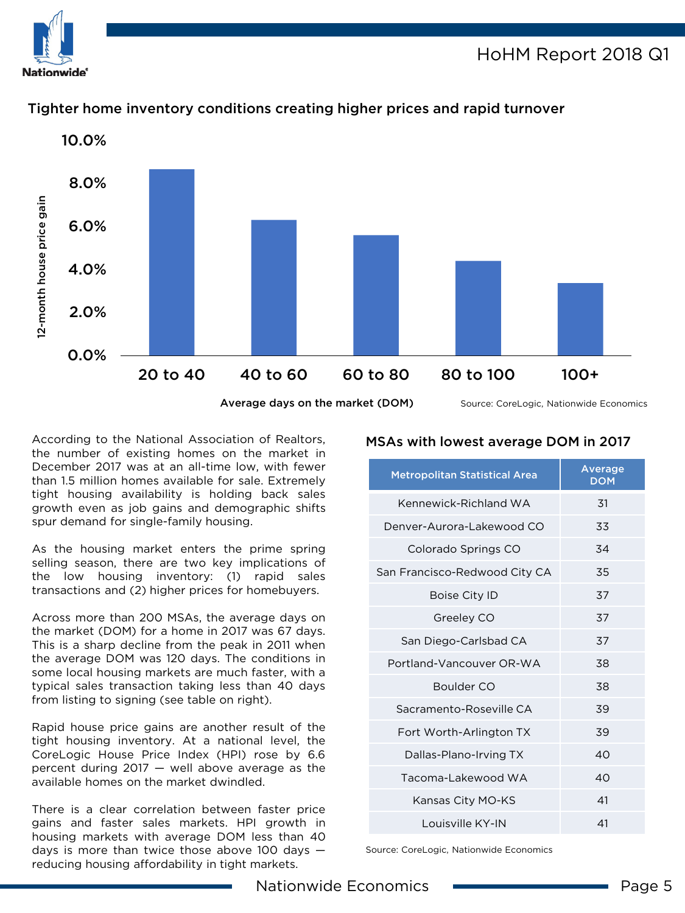Nationwide°

## HoHM Report 2018 Q1



## Tighter home inventory conditions creating higher prices and rapid turnover

According to the National Association of Realtors, the number of existing homes on the market in December 2017 was at an all-time low, with fewer than 1.5 million homes available for sale. Extremely tight housing availability is holding back sales growth even as job gains and demographic shifts spur demand for single-family housing.

As the housing market enters the prime spring selling season, there are two key implications of the low housing inventory: (1) rapid sales transactions and (2) higher prices for homebuyers.

Across more than 200 MSAs, the average days on the market (DOM) for a home in 2017 was 67 days. This is a sharp decline from the peak in 2011 when the average DOM was 120 days. The conditions in some local housing markets are much faster, with a typical sales transaction taking less than 40 days from listing to signing (see table on right).

Rapid house price gains are another result of the tight housing inventory. At a national level, the CoreLogic House Price Index (HPI) rose by 6.6 percent during 2017 — well above average as the available homes on the market dwindled.

There is a clear correlation between faster price gains and faster sales markets. HPI growth in housing markets with average DOM less than 40 days is more than twice those above 100 days  $$ reducing housing affordability in tight markets.

### MSAs with lowest average DOM in 2017

| <b>Metropolitan Statistical Area</b> | Average<br><b>DOM</b> |
|--------------------------------------|-----------------------|
| Kennewick-Richland WA                | 31                    |
| Denver-Aurora-Lakewood CO            | 33                    |
| Colorado Springs CO                  | 34                    |
| San Francisco-Redwood City CA        | 35                    |
| Boise City ID                        | 37                    |
| Greeley CO                           | 37                    |
| San Diego-Carlsbad CA                | 37                    |
| Portland-Vancouver OR-WA             | 38                    |
| Boulder CO                           | 38                    |
| Sacramento-Roseville CA              | 39                    |
| Fort Worth-Arlington TX              | 39                    |
| Dallas-Plano-Irving TX               | 40                    |
| Tacoma-Lakewood WA                   | 40                    |
| Kansas City MO-KS                    | 41                    |
| Louisville KY-IN                     | 41                    |

Source: CoreLogic, Nationwide Economics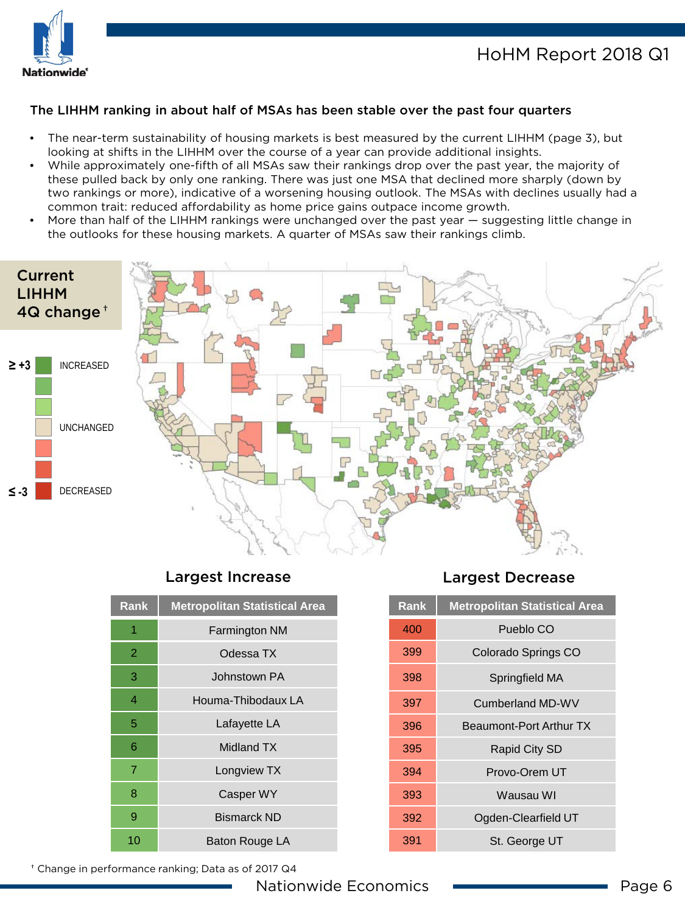

#### The LIHHM ranking in about half of MSAs has been stable over the past four quarters

- The near-term sustainability of housing markets is best measured by the current LIHHM (page 3), but looking at shifts in the LIHHM over the course of a year can provide additional insights.
- While approximately one-fifth of all MSAs saw their rankings drop over the past year, the majority of these pulled back by only one ranking. There was just one MSA that declined more sharply (down by two rankings or more), indicative of a worsening housing outlook. The MSAs with declines usually had a common trait: reduced affordability as home price gains outpace income growth.
- More than half of the LIHHM rankings were unchanged over the past year suggesting little change in the outlooks for these housing markets. A quarter of MSAs saw their rankings climb.



### Largest Increase Largest Decrease

| <b>Rank</b> | <b>Metropolitan Statistical Area</b> |
|-------------|--------------------------------------|
| 1           | Farmington NM                        |
| 2           | Odessa TX                            |
| 3           | Johnstown PA                         |
| 4           | Houma-Thibodaux LA                   |
| 5           | Lafayette LA                         |
| 6           | Midland TX                           |
| 7           | Longview TX                          |
| 8           | Casper WY                            |
| 9           | <b>Bismarck ND</b>                   |
| 10          | Baton Rouge LA                       |

| Rank | <b>Metropolitan Statistical Area</b> |
|------|--------------------------------------|
| 400  | Pueblo CO                            |
| 399  | Colorado Springs CO                  |
| 398  | Springfield MA                       |
| 397  | Cumberland MD-WV                     |
| 396  | Beaumont-Port Arthur TX              |
| 395  | Rapid City SD                        |
| 394  | Provo-Orem UT                        |
| 393  | Wausau WI                            |
| 392  | Ogden-Clearfield UT                  |
| 391  | St. George UT                        |

† Change in performance ranking; Data as of 2017 Q4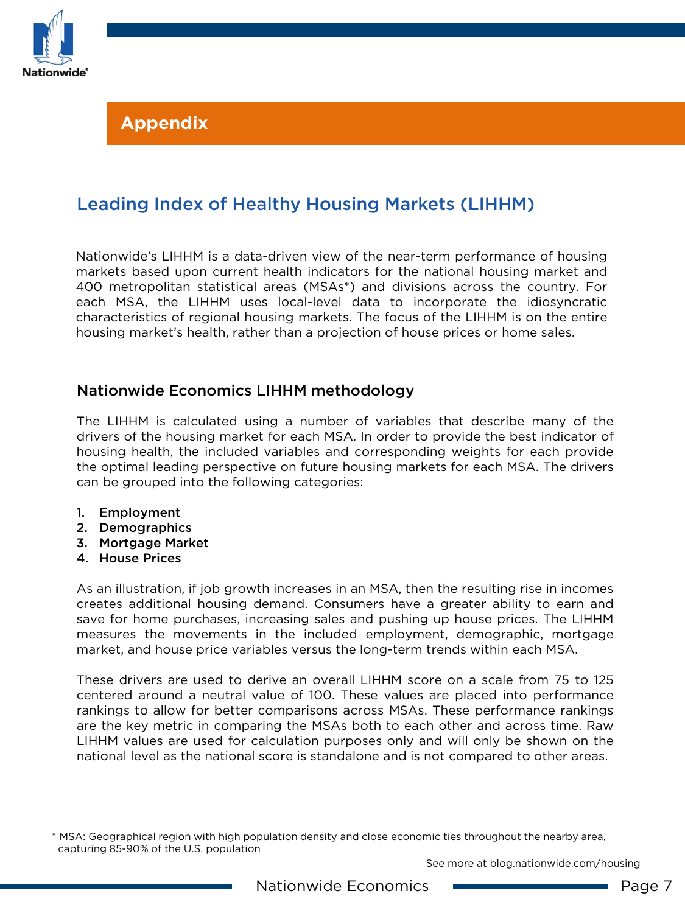

## **Appendix**

## Leading Index of Healthy Housing Markets (LIHHM)

Nationwide's LIHHM is a data-driven view of the near-term performance of housing markets based upon current health indicators for the national housing market and 400 metropolitan statistical areas (MSAs\*) and divisions across the country. For each MSA, the LIHHM uses local-level data to incorporate the idiosyncratic characteristics of regional housing markets. The focus of the LIHHM is on the entire housing market's health, rather than a projection of house prices or home sales.

## Nationwide Economics LIHHM methodology

The LIHHM is calculated using a number of variables that describe many of the drivers of the housing market for each MSA. In order to provide the best indicator of housing health, the included variables and corresponding weights for each provide the optimal leading perspective on future housing markets for each MSA. The drivers can be grouped into the following categories:

- 1. Employment
- 2. Demographics
- 3. Mortgage Market
- 4. House Prices

As an illustration, if job growth increases in an MSA, then the resulting rise in incomes creates additional housing demand. Consumers have a greater ability to earn and save for home purchases, increasing sales and pushing up house prices. The LIHHM measures the movements in the included employment, demographic, mortgage market, and house price variables versus the long-term trends within each MSA.

These drivers are used to derive an overall LIHHM score on a scale from 75 to 125 centered around a neutral value of 100. These values are placed into performance rankings to allow for better comparisons across MSAs. These performance rankings are the key metric in comparing the MSAs both to each other and across time. Raw LIHHM values are used for calculation purposes only and will only be shown on the national level as the national score is standalone and is not compared to other areas.

See more at blog.nationwide.com/housing

<sup>\*</sup> MSA: Geographical region with high population density and close economic ties throughout the nearby area, capturing 85-90% of the U.S. population